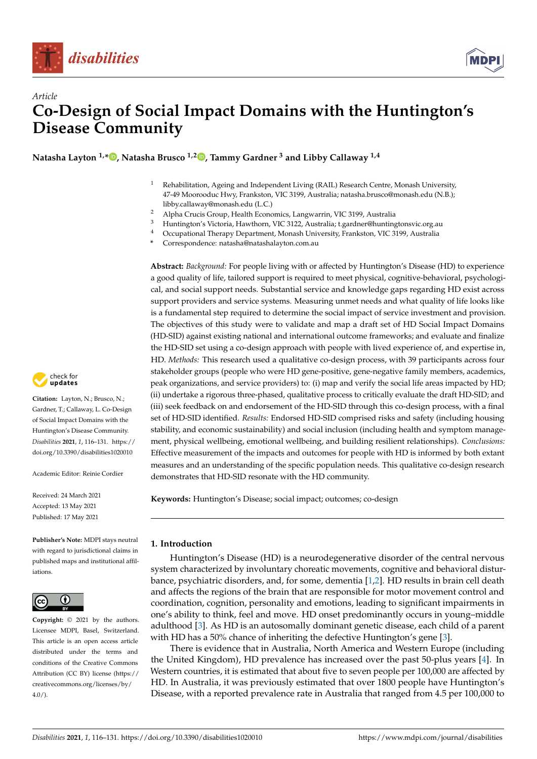



# *Article* **Co-Design of Social Impact Domains with the Huntington's Disease Community**

**Natasha Layton 1,\* [,](https://orcid.org/0000-0002-3213-8069) Natasha Brusco 1,2 [,](https://orcid.org/0000-0002-8825-5109) Tammy Gardner <sup>3</sup> and Libby Callaway 1,4**

- <sup>1</sup> Rehabilitation, Ageing and Independent Living (RAIL) Research Centre, Monash University, 47-49 Moorooduc Hwy, Frankston, VIC 3199, Australia; natasha.brusco@monash.edu (N.B.); libby.callaway@monash.edu (L.C.)
- <sup>2</sup> Alpha Crucis Group, Health Economics, Langwarrin, VIC 3199, Australia
- <sup>3</sup> Huntington's Victoria, Hawthorn, VIC 3122, Australia; t.gardner@huntingtonsvic.org.au
- <sup>4</sup> Occupational Therapy Department, Monash University, Frankston, VIC 3199, Australia

**\*** Correspondence: natasha@natashalayton.com.au

**Abstract:** *Background:* For people living with or affected by Huntington's Disease (HD) to experience a good quality of life, tailored support is required to meet physical, cognitive-behavioral, psychological, and social support needs. Substantial service and knowledge gaps regarding HD exist across support providers and service systems. Measuring unmet needs and what quality of life looks like is a fundamental step required to determine the social impact of service investment and provision. The objectives of this study were to validate and map a draft set of HD Social Impact Domains (HD-SID) against existing national and international outcome frameworks; and evaluate and finalize the HD-SID set using a co-design approach with people with lived experience of, and expertise in, HD. *Methods:* This research used a qualitative co-design process, with 39 participants across four stakeholder groups (people who were HD gene-positive, gene-negative family members, academics, peak organizations, and service providers) to: (i) map and verify the social life areas impacted by HD; (ii) undertake a rigorous three-phased, qualitative process to critically evaluate the draft HD-SID; and (iii) seek feedback on and endorsement of the HD-SID through this co-design process, with a final set of HD-SID identified. *Results:* Endorsed HD-SID comprised risks and safety (including housing stability, and economic sustainability) and social inclusion (including health and symptom management, physical wellbeing, emotional wellbeing, and building resilient relationships). *Conclusions:* Effective measurement of the impacts and outcomes for people with HD is informed by both extant measures and an understanding of the specific population needs. This qualitative co-design research demonstrates that HD-SID resonate with the HD community.

**Keywords:** Huntington's Disease; social impact; outcomes; co-design

## **1. Introduction**

Huntington's Disease (HD) is a neurodegenerative disorder of the central nervous system characterized by involuntary choreatic movements, cognitive and behavioral disturbance, psychiatric disorders, and, for some, dementia [\[1,](#page-13-0)[2\]](#page-13-1). HD results in brain cell death and affects the regions of the brain that are responsible for motor movement control and coordination, cognition, personality and emotions, leading to significant impairments in one's ability to think, feel and move. HD onset predominantly occurs in young–middle adulthood [\[3\]](#page-13-2). As HD is an autosomally dominant genetic disease, each child of a parent with HD has a 50% chance of inheriting the defective Huntington's gene [\[3\]](#page-13-2).

There is evidence that in Australia, North America and Western Europe (including the United Kingdom), HD prevalence has increased over the past 50-plus years [\[4\]](#page-14-0). In Western countries, it is estimated that about five to seven people per 100,000 are affected by HD. In Australia, it was previously estimated that over 1800 people have Huntington's Disease, with a reported prevalence rate in Australia that ranged from 4.5 per 100,000 to



**Citation:** Layton, N.; Brusco, N.; Gardner, T.; Callaway, L. Co-Design of Social Impact Domains with the Huntington's Disease Community. *Disabilities* **2021**, *1*, 116–131. [https://](https://doi.org/10.3390/disabilities1020010) [doi.org/10.3390/disabilities1020010](https://doi.org/10.3390/disabilities1020010)

Academic Editor: Reinie Cordier

Received: 24 March 2021 Accepted: 13 May 2021 Published: 17 May 2021

**Publisher's Note:** MDPI stays neutral with regard to jurisdictional claims in published maps and institutional affiliations.



**Copyright:** © 2021 by the authors. Licensee MDPI, Basel, Switzerland. This article is an open access article distributed under the terms and conditions of the Creative Commons Attribution (CC BY) license (https:/[/](https://creativecommons.org/licenses/by/4.0/) [creativecommons.org/licenses/by/](https://creativecommons.org/licenses/by/4.0/)  $4.0/$ ).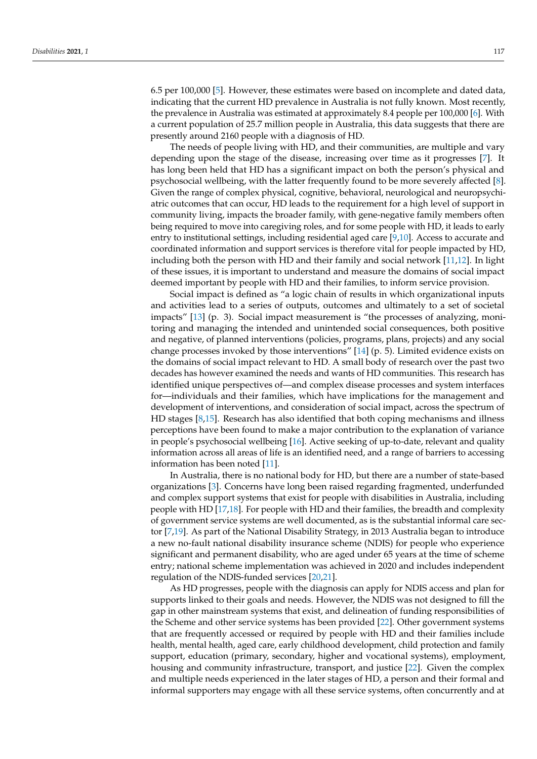6.5 per 100,000 [\[5\]](#page-14-1). However, these estimates were based on incomplete and dated data, indicating that the current HD prevalence in Australia is not fully known. Most recently, the prevalence in Australia was estimated at approximately 8.4 people per 100,000 [\[6\]](#page-14-2). With a current population of 25.7 million people in Australia, this data suggests that there are presently around 2160 people with a diagnosis of HD.

The needs of people living with HD, and their communities, are multiple and vary depending upon the stage of the disease, increasing over time as it progresses [\[7\]](#page-14-3). It has long been held that HD has a significant impact on both the person's physical and psychosocial wellbeing, with the latter frequently found to be more severely affected [\[8\]](#page-14-4). Given the range of complex physical, cognitive, behavioral, neurological and neuropsychiatric outcomes that can occur, HD leads to the requirement for a high level of support in community living, impacts the broader family, with gene-negative family members often being required to move into caregiving roles, and for some people with HD, it leads to early entry to institutional settings, including residential aged care [\[9](#page-14-5)[,10\]](#page-14-6). Access to accurate and coordinated information and support services is therefore vital for people impacted by HD, including both the person with HD and their family and social network [\[11](#page-14-7)[,12\]](#page-14-8). In light of these issues, it is important to understand and measure the domains of social impact deemed important by people with HD and their families, to inform service provision.

Social impact is defined as "a logic chain of results in which organizational inputs and activities lead to a series of outputs, outcomes and ultimately to a set of societal impacts" [\[13\]](#page-14-9) (p. 3). Social impact measurement is "the processes of analyzing, monitoring and managing the intended and unintended social consequences, both positive and negative, of planned interventions (policies, programs, plans, projects) and any social change processes invoked by those interventions" [\[14\]](#page-14-10) (p. 5). Limited evidence exists on the domains of social impact relevant to HD. A small body of research over the past two decades has however examined the needs and wants of HD communities. This research has identified unique perspectives of—and complex disease processes and system interfaces for—individuals and their families, which have implications for the management and development of interventions, and consideration of social impact, across the spectrum of HD stages [\[8,](#page-14-4)[15\]](#page-14-11). Research has also identified that both coping mechanisms and illness perceptions have been found to make a major contribution to the explanation of variance in people's psychosocial wellbeing [\[16\]](#page-14-12). Active seeking of up-to-date, relevant and quality information across all areas of life is an identified need, and a range of barriers to accessing information has been noted [\[11\]](#page-14-7).

In Australia, there is no national body for HD, but there are a number of state-based organizations [\[3\]](#page-13-2). Concerns have long been raised regarding fragmented, underfunded and complex support systems that exist for people with disabilities in Australia, including people with HD [\[17,](#page-14-13)[18\]](#page-14-14). For people with HD and their families, the breadth and complexity of government service systems are well documented, as is the substantial informal care sector [\[7,](#page-14-3)[19\]](#page-14-15). As part of the National Disability Strategy, in 2013 Australia began to introduce a new no-fault national disability insurance scheme (NDIS) for people who experience significant and permanent disability, who are aged under 65 years at the time of scheme entry; national scheme implementation was achieved in 2020 and includes independent regulation of the NDIS-funded services [\[20](#page-14-16)[,21\]](#page-14-17).

As HD progresses, people with the diagnosis can apply for NDIS access and plan for supports linked to their goals and needs. However, the NDIS was not designed to fill the gap in other mainstream systems that exist, and delineation of funding responsibilities of the Scheme and other service systems has been provided [\[22\]](#page-14-18). Other government systems that are frequently accessed or required by people with HD and their families include health, mental health, aged care, early childhood development, child protection and family support, education (primary, secondary, higher and vocational systems), employment, housing and community infrastructure, transport, and justice [\[22\]](#page-14-18). Given the complex and multiple needs experienced in the later stages of HD, a person and their formal and informal supporters may engage with all these service systems, often concurrently and at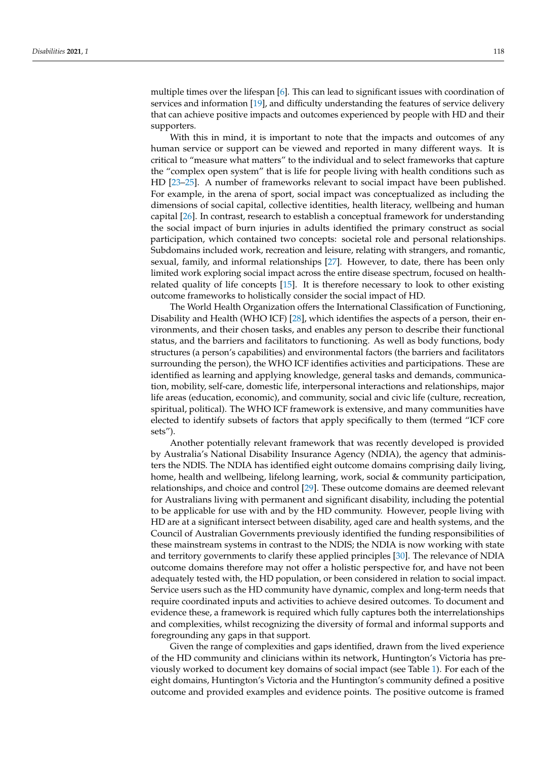multiple times over the lifespan [\[6\]](#page-14-2). This can lead to significant issues with coordination of services and information [\[19\]](#page-14-15), and difficulty understanding the features of service delivery that can achieve positive impacts and outcomes experienced by people with HD and their supporters.

With this in mind, it is important to note that the impacts and outcomes of any human service or support can be viewed and reported in many different ways. It is critical to "measure what matters" to the individual and to select frameworks that capture the "complex open system" that is life for people living with health conditions such as HD [\[23](#page-14-19)[–25\]](#page-14-20). A number of frameworks relevant to social impact have been published. For example, in the arena of sport, social impact was conceptualized as including the dimensions of social capital, collective identities, health literacy, wellbeing and human capital [\[26\]](#page-14-21). In contrast, research to establish a conceptual framework for understanding the social impact of burn injuries in adults identified the primary construct as social participation, which contained two concepts: societal role and personal relationships. Subdomains included work, recreation and leisure, relating with strangers, and romantic, sexual, family, and informal relationships [\[27\]](#page-14-22). However, to date, there has been only limited work exploring social impact across the entire disease spectrum, focused on healthrelated quality of life concepts [\[15\]](#page-14-11). It is therefore necessary to look to other existing outcome frameworks to holistically consider the social impact of HD.

The World Health Organization offers the International Classification of Functioning, Disability and Health (WHO ICF) [\[28\]](#page-14-23), which identifies the aspects of a person, their environments, and their chosen tasks, and enables any person to describe their functional status, and the barriers and facilitators to functioning. As well as body functions, body structures (a person's capabilities) and environmental factors (the barriers and facilitators surrounding the person), the WHO ICF identifies activities and participations. These are identified as learning and applying knowledge, general tasks and demands, communication, mobility, self-care, domestic life, interpersonal interactions and relationships, major life areas (education, economic), and community, social and civic life (culture, recreation, spiritual, political). The WHO ICF framework is extensive, and many communities have elected to identify subsets of factors that apply specifically to them (termed "ICF core sets").

Another potentially relevant framework that was recently developed is provided by Australia's National Disability Insurance Agency (NDIA), the agency that administers the NDIS. The NDIA has identified eight outcome domains comprising daily living, home, health and wellbeing, lifelong learning, work, social & community participation, relationships, and choice and control [\[29\]](#page-14-24). These outcome domains are deemed relevant for Australians living with permanent and significant disability, including the potential to be applicable for use with and by the HD community. However, people living with HD are at a significant intersect between disability, aged care and health systems, and the Council of Australian Governments previously identified the funding responsibilities of these mainstream systems in contrast to the NDIS; the NDIA is now working with state and territory governments to clarify these applied principles [\[30\]](#page-14-25). The relevance of NDIA outcome domains therefore may not offer a holistic perspective for, and have not been adequately tested with, the HD population, or been considered in relation to social impact. Service users such as the HD community have dynamic, complex and long-term needs that require coordinated inputs and activities to achieve desired outcomes. To document and evidence these, a framework is required which fully captures both the interrelationships and complexities, whilst recognizing the diversity of formal and informal supports and foregrounding any gaps in that support.

Given the range of complexities and gaps identified, drawn from the lived experience of the HD community and clinicians within its network, Huntington's Victoria has previously worked to document key domains of social impact (see Table [1\)](#page-3-0). For each of the eight domains, Huntington's Victoria and the Huntington's community defined a positive outcome and provided examples and evidence points. The positive outcome is framed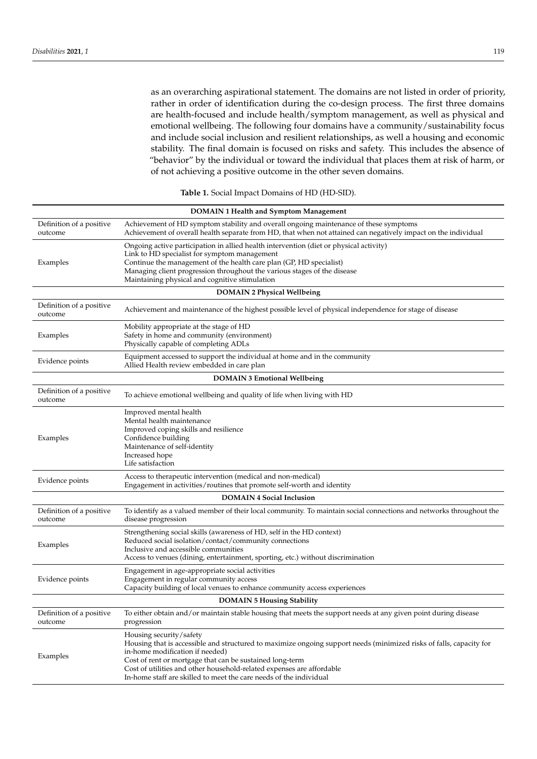as an overarching aspirational statement. The domains are not listed in order of priority, rather in order of identification during the co-design process. The first three domains are health-focused and include health/symptom management, as well as physical and emotional wellbeing. The following four domains have a community/sustainability focus and include social inclusion and resilient relationships, as well a housing and economic stability. The final domain is focused on risks and safety. This includes the absence of "behavior" by the individual or toward the individual that places them at risk of harm, or of not achieving a positive outcome in the other seven domains.

**Table 1.** Social Impact Domains of HD (HD-SID).

<span id="page-3-0"></span>

| <b>DOMAIN 1 Health and Symptom Management</b> |                                                                                                                                                                                                                                                                                                                                                                                              |  |  |
|-----------------------------------------------|----------------------------------------------------------------------------------------------------------------------------------------------------------------------------------------------------------------------------------------------------------------------------------------------------------------------------------------------------------------------------------------------|--|--|
| Definition of a positive<br>outcome           | Achievement of HD symptom stability and overall ongoing maintenance of these symptoms<br>Achievement of overall health separate from HD, that when not attained can negatively impact on the individual                                                                                                                                                                                      |  |  |
| Examples                                      | Ongoing active participation in allied health intervention (diet or physical activity)<br>Link to HD specialist for symptom management<br>Continue the management of the health care plan (GP, HD specialist)<br>Managing client progression throughout the various stages of the disease<br>Maintaining physical and cognitive stimulation                                                  |  |  |
|                                               | <b>DOMAIN 2 Physical Wellbeing</b>                                                                                                                                                                                                                                                                                                                                                           |  |  |
| Definition of a positive<br>outcome           | Achievement and maintenance of the highest possible level of physical independence for stage of disease                                                                                                                                                                                                                                                                                      |  |  |
| Examples                                      | Mobility appropriate at the stage of HD<br>Safety in home and community (environment)<br>Physically capable of completing ADLs                                                                                                                                                                                                                                                               |  |  |
| Evidence points                               | Equipment accessed to support the individual at home and in the community<br>Allied Health review embedded in care plan                                                                                                                                                                                                                                                                      |  |  |
|                                               | <b>DOMAIN 3 Emotional Wellbeing</b>                                                                                                                                                                                                                                                                                                                                                          |  |  |
| Definition of a positive<br>outcome           | To achieve emotional wellbeing and quality of life when living with HD                                                                                                                                                                                                                                                                                                                       |  |  |
| Examples                                      | Improved mental health<br>Mental health maintenance<br>Improved coping skills and resilience<br>Confidence building<br>Maintenance of self-identity<br>Increased hope<br>Life satisfaction                                                                                                                                                                                                   |  |  |
| Evidence points                               | Access to therapeutic intervention (medical and non-medical)<br>Engagement in activities/routines that promote self-worth and identity                                                                                                                                                                                                                                                       |  |  |
|                                               | <b>DOMAIN 4 Social Inclusion</b>                                                                                                                                                                                                                                                                                                                                                             |  |  |
| Definition of a positive<br>outcome           | To identify as a valued member of their local community. To maintain social connections and networks throughout the<br>disease progression                                                                                                                                                                                                                                                   |  |  |
| Examples                                      | Strengthening social skills (awareness of HD, self in the HD context)<br>Reduced social isolation/contact/community connections<br>Inclusive and accessible communities<br>Access to venues (dining, entertainment, sporting, etc.) without discrimination                                                                                                                                   |  |  |
| Evidence points                               | Engagement in age-appropriate social activities<br>Engagement in regular community access<br>Capacity building of local venues to enhance community access experiences                                                                                                                                                                                                                       |  |  |
|                                               | <b>DOMAIN 5 Housing Stability</b>                                                                                                                                                                                                                                                                                                                                                            |  |  |
| Definition of a positive<br>outcome           | To either obtain and/or maintain stable housing that meets the support needs at any given point during disease<br>progression                                                                                                                                                                                                                                                                |  |  |
| Examples                                      | Housing security/safety<br>Housing that is accessible and structured to maximize ongoing support needs (minimized risks of falls, capacity for<br>in-home modification if needed)<br>Cost of rent or mortgage that can be sustained long-term<br>Cost of utilities and other household-related expenses are affordable<br>In-home staff are skilled to meet the care needs of the individual |  |  |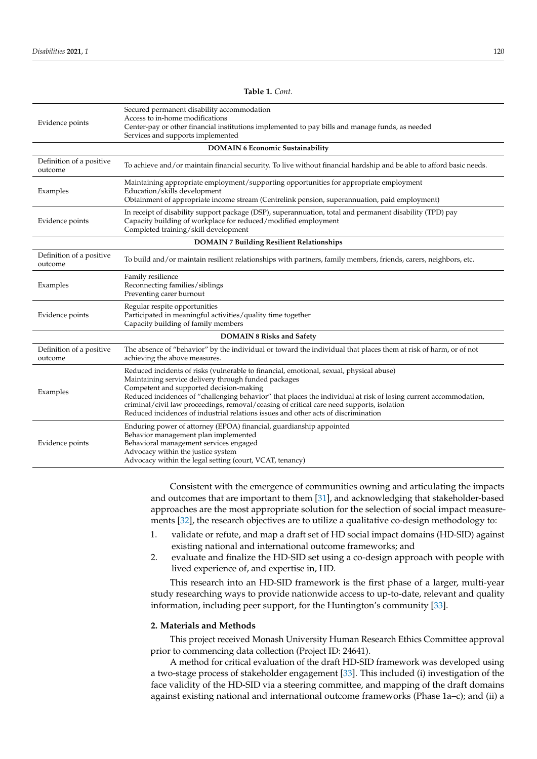Evidence points Secured permanent disability accommodation Access to in-home modifications Center-pay or other financial institutions implemented to pay bills and manage funds, as needed Services and supports implemented **DOMAIN 6 Economic Sustainability** Definition of a positive Definition or a positive To achieve and/or maintain financial security. To live without financial hardship and be able to afford basic needs. Examples Maintaining appropriate employment/supporting opportunities for appropriate employment Education/skills development Obtainment of appropriate income stream (Centrelink pension, superannuation, paid employment) Evidence points In receipt of disability support package (DSP), superannuation, total and permanent disability (TPD) pay Capacity building of workplace for reduced/modified employment Completed training/skill development **DOMAIN 7 Building Resilient Relationships** Definition of a positive outcome To build and/or maintain resilient relationships with partners, family members, friends, carers, neighbors, etc. Examples Family resilience Reconnecting families/siblings Preventing carer burnout Evidence points Regular respite opportunities Participated in meaningful activities/quality time together Capacity building of family members **DOMAIN 8 Risks and Safety** Definition of a positive outcome The absence of "behavior" by the individual or toward the individual that places them at risk of harm, or of not achieving the above measures. Examples Reduced incidents of risks (vulnerable to financial, emotional, sexual, physical abuse) Maintaining service delivery through funded packages Competent and supported decision-making Reduced incidences of "challenging behavior" that places the individual at risk of losing current accommodation, criminal/civil law proceedings, removal/ceasing of critical care need supports, isolation Reduced incidences of industrial relations issues and other acts of discrimination Evidence points Enduring power of attorney (EPOA) financial, guardianship appointed Behavior management plan implemented Behavioral management services engaged Advocacy within the justice system

> Consistent with the emergence of communities owning and articulating the impacts and outcomes that are important to them [\[31\]](#page-14-26), and acknowledging that stakeholder-based approaches are the most appropriate solution for the selection of social impact measurements [\[32\]](#page-14-27), the research objectives are to utilize a qualitative co-design methodology to:

- 1. validate or refute, and map a draft set of HD social impact domains (HD-SID) against existing national and international outcome frameworks; and
- 2. evaluate and finalize the HD-SID set using a co-design approach with people with lived experience of, and expertise in, HD.

This research into an HD-SID framework is the first phase of a larger, multi-year study researching ways to provide nationwide access to up-to-date, relevant and quality information, including peer support, for the Huntington's community [\[33\]](#page-15-0).

## **2. Materials and Methods**

Advocacy within the legal setting (court, VCAT, tenancy)

This project received Monash University Human Research Ethics Committee approval prior to commencing data collection (Project ID: 24641).

A method for critical evaluation of the draft HD-SID framework was developed using a two-stage process of stakeholder engagement [\[33\]](#page-15-0). This included (i) investigation of the face validity of the HD-SID via a steering committee, and mapping of the draft domains against existing national and international outcome frameworks (Phase 1a–c); and (ii) a

**Table 1.** *Cont.*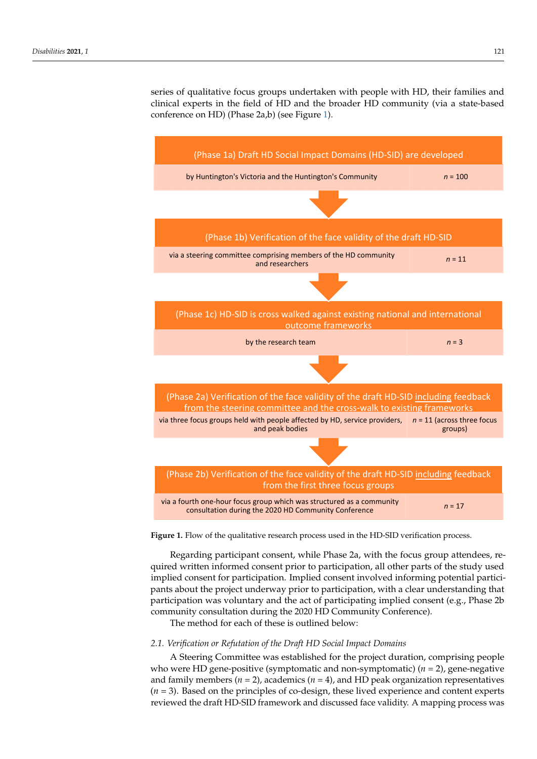series of qualitative focus groups undertaken with people with HD, their families and clinical experts in the field of HD and the broader HD community (via a state-based  $\binom{2}{r}$ conference on HD) (Phase 2a,b) (see Figure [1\)](#page-5-0). implied consent for participation. In participation. In participation in  $\mathcal{L}$ parties of qualitative focus groups undertaken with people with FID, their families and

Regarding participant consent, while Phase 2a, with the focus group attendees,

<span id="page-5-0"></span>

**Figure 1.** Flow of the qualitative research process used in the HD-SID verification process. **Figure 1.** Flow of the qualitative research process used in the HD-SID verification process.

Regarding participant consent, while Phase 2a, with the focus group attendees, required written informed consent prior to participation, all other parts of the study used implied consent for participation. Implied consent involved informing potential participants about the project underway prior to participation, with a clear understanding that participation was voluntary and the act of participating implied consent (e.g., Phase 2b community consultation during the 2020 HD Community Conference).

The method for each of these is outlined below:

## *2.1. Verification or Refutation of the Draft HD Social Impact Domains*

A Steering Committee was established for the project duration, comprising people who were HD gene-positive (symptomatic and non-symptomatic) (*n* = 2), gene-negative and family members  $(n = 2)$ , academics  $(n = 4)$ , and HD peak organization representatives (*n* = 3). Based on the principles of co-design, these lived experience and content experts reviewed the draft HD-SID framework and discussed face validity. A mapping process was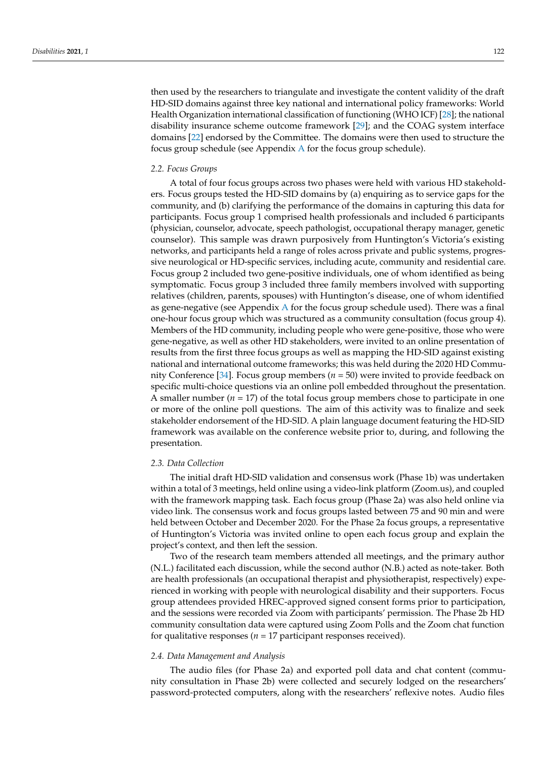then used by the researchers to triangulate and investigate the content validity of the draft HD-SID domains against three key national and international policy frameworks: World Health Organization international classification of functioning (WHO ICF) [\[28\]](#page-14-23); the national disability insurance scheme outcome framework [\[29\]](#page-14-24); and the COAG system interface domains [\[22\]](#page-14-18) endorsed by the Committee. The domains were then used to structure the focus group schedule (see Appendix [A](#page-12-0) for the focus group schedule).

#### *2.2. Focus Groups*

A total of four focus groups across two phases were held with various HD stakeholders. Focus groups tested the HD-SID domains by (a) enquiring as to service gaps for the community, and (b) clarifying the performance of the domains in capturing this data for participants. Focus group 1 comprised health professionals and included 6 participants (physician, counselor, advocate, speech pathologist, occupational therapy manager, genetic counselor). This sample was drawn purposively from Huntington's Victoria's existing networks, and participants held a range of roles across private and public systems, progressive neurological or HD-specific services, including acute, community and residential care. Focus group 2 included two gene-positive individuals, one of whom identified as being symptomatic. Focus group 3 included three family members involved with supporting relatives (children, parents, spouses) with Huntington's disease, one of whom identified as gene-negative (see [A](#page-12-0)ppendix  $A$  for the focus group schedule used). There was a final one-hour focus group which was structured as a community consultation (focus group 4). Members of the HD community, including people who were gene-positive, those who were gene-negative, as well as other HD stakeholders, were invited to an online presentation of results from the first three focus groups as well as mapping the HD-SID against existing national and international outcome frameworks; this was held during the 2020 HD Community Conference [\[34\]](#page-15-1). Focus group members (*n* = 50) were invited to provide feedback on specific multi-choice questions via an online poll embedded throughout the presentation. A smaller number  $(n = 17)$  of the total focus group members chose to participate in one or more of the online poll questions. The aim of this activity was to finalize and seek stakeholder endorsement of the HD-SID. A plain language document featuring the HD-SID framework was available on the conference website prior to, during, and following the presentation.

#### *2.3. Data Collection*

The initial draft HD-SID validation and consensus work (Phase 1b) was undertaken within a total of 3 meetings, held online using a video-link platform (Zoom.us), and coupled with the framework mapping task. Each focus group (Phase 2a) was also held online via video link. The consensus work and focus groups lasted between 75 and 90 min and were held between October and December 2020. For the Phase 2a focus groups, a representative of Huntington's Victoria was invited online to open each focus group and explain the project's context, and then left the session.

Two of the research team members attended all meetings, and the primary author (N.L.) facilitated each discussion, while the second author (N.B.) acted as note-taker. Both are health professionals (an occupational therapist and physiotherapist, respectively) experienced in working with people with neurological disability and their supporters. Focus group attendees provided HREC-approved signed consent forms prior to participation, and the sessions were recorded via Zoom with participants' permission. The Phase 2b HD community consultation data were captured using Zoom Polls and the Zoom chat function for qualitative responses ( $n = 17$  participant responses received).

#### *2.4. Data Management and Analysis*

The audio files (for Phase 2a) and exported poll data and chat content (community consultation in Phase 2b) were collected and securely lodged on the researchers' password-protected computers, along with the researchers' reflexive notes. Audio files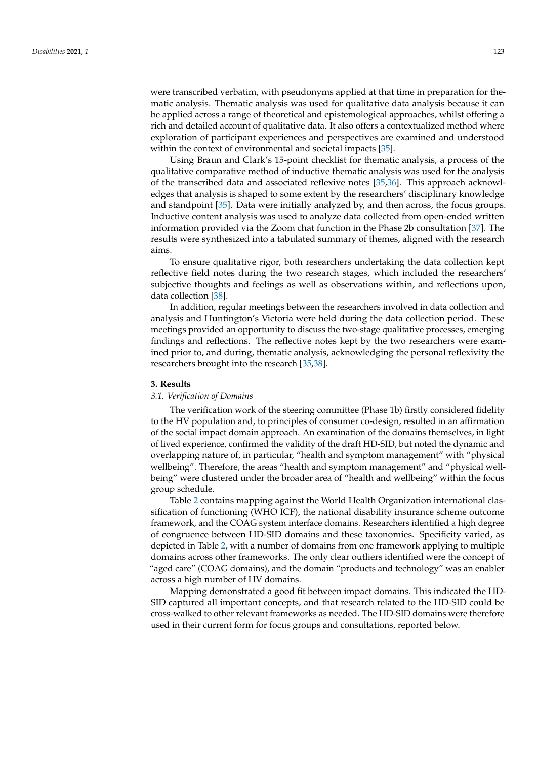were transcribed verbatim, with pseudonyms applied at that time in preparation for thematic analysis. Thematic analysis was used for qualitative data analysis because it can be applied across a range of theoretical and epistemological approaches, whilst offering a rich and detailed account of qualitative data. It also offers a contextualized method where exploration of participant experiences and perspectives are examined and understood within the context of environmental and societal impacts [\[35\]](#page-15-2).

Using Braun and Clark's 15-point checklist for thematic analysis, a process of the qualitative comparative method of inductive thematic analysis was used for the analysis of the transcribed data and associated reflexive notes [\[35](#page-15-2)[,36\]](#page-15-3). This approach acknowledges that analysis is shaped to some extent by the researchers' disciplinary knowledge and standpoint [\[35\]](#page-15-2). Data were initially analyzed by, and then across, the focus groups. Inductive content analysis was used to analyze data collected from open-ended written information provided via the Zoom chat function in the Phase 2b consultation [\[37\]](#page-15-4). The results were synthesized into a tabulated summary of themes, aligned with the research aims.

To ensure qualitative rigor, both researchers undertaking the data collection kept reflective field notes during the two research stages, which included the researchers' subjective thoughts and feelings as well as observations within, and reflections upon, data collection [\[38\]](#page-15-5).

In addition, regular meetings between the researchers involved in data collection and analysis and Huntington's Victoria were held during the data collection period. These meetings provided an opportunity to discuss the two-stage qualitative processes, emerging findings and reflections. The reflective notes kept by the two researchers were examined prior to, and during, thematic analysis, acknowledging the personal reflexivity the researchers brought into the research [\[35](#page-15-2)[,38\]](#page-15-5).

#### **3. Results**

#### *3.1. Verification of Domains*

The verification work of the steering committee (Phase 1b) firstly considered fidelity to the HV population and, to principles of consumer co-design, resulted in an affirmation of the social impact domain approach. An examination of the domains themselves, in light of lived experience, confirmed the validity of the draft HD-SID, but noted the dynamic and overlapping nature of, in particular, "health and symptom management" with "physical wellbeing". Therefore, the areas "health and symptom management" and "physical wellbeing" were clustered under the broader area of "health and wellbeing" within the focus group schedule.

Table [2](#page-8-0) contains mapping against the World Health Organization international classification of functioning (WHO ICF), the national disability insurance scheme outcome framework, and the COAG system interface domains. Researchers identified a high degree of congruence between HD-SID domains and these taxonomies. Specificity varied, as depicted in Table [2,](#page-8-0) with a number of domains from one framework applying to multiple domains across other frameworks. The only clear outliers identified were the concept of "aged care" (COAG domains), and the domain "products and technology" was an enabler across a high number of HV domains.

Mapping demonstrated a good fit between impact domains. This indicated the HD-SID captured all important concepts, and that research related to the HD-SID could be cross-walked to other relevant frameworks as needed. The HD-SID domains were therefore used in their current form for focus groups and consultations, reported below.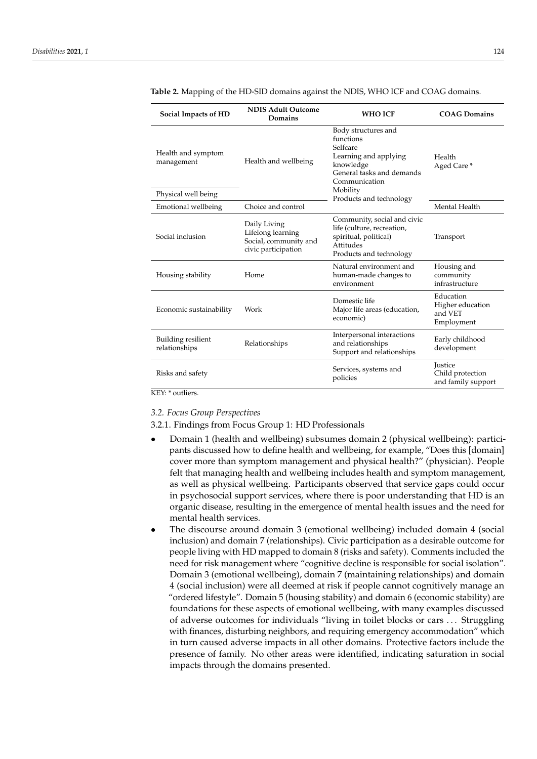| Social Impacts of HD                                                                                  | <b>NDIS Adult Outcome</b><br><b>WHO ICF</b><br>Domains                                                                                                   |                                                                                                                            | <b>COAG Domains</b>                                    |
|-------------------------------------------------------------------------------------------------------|----------------------------------------------------------------------------------------------------------------------------------------------------------|----------------------------------------------------------------------------------------------------------------------------|--------------------------------------------------------|
| Health and symptom<br>management                                                                      | Body structures and<br>functions<br>Selfcare<br>Learning and applying<br>Health and wellbeing<br>knowledge<br>General tasks and demands<br>Communication |                                                                                                                            | Health<br>Aged Care*                                   |
| Physical well being                                                                                   |                                                                                                                                                          | Mobility<br>Products and technology                                                                                        |                                                        |
| Emotional wellbeing                                                                                   | Choice and control                                                                                                                                       |                                                                                                                            | Mental Health                                          |
| Daily Living<br>Lifelong learning<br>Social inclusion<br>Social, community and<br>civic participation |                                                                                                                                                          | Community, social and civic<br>life (culture, recreation,<br>spiritual, political)<br>Attitudes<br>Products and technology | Transport                                              |
| Housing stability                                                                                     | Home                                                                                                                                                     | Natural environment and<br>human-made changes to<br>environment                                                            | Housing and<br>community<br>infrastructure             |
| Economic sustainability                                                                               | Work                                                                                                                                                     | Domestic life<br>Major life areas (education,<br>economic)                                                                 | Education<br>Higher education<br>and VET<br>Employment |
| Building resilient<br>relationships                                                                   | Relationships                                                                                                                                            | Interpersonal interactions<br>and relationships<br>Support and relationships                                               | Early childhood<br>development                         |
| Risks and safety                                                                                      |                                                                                                                                                          | Services, systems and<br>policies                                                                                          | Justice<br>Child protection<br>and family support      |

<span id="page-8-0"></span>**Table 2.** Mapping of the HD-SID domains against the NDIS, WHO ICF and COAG domains.

KEY: \* outliers.

#### *3.2. Focus Group Perspectives*

3.2.1. Findings from Focus Group 1: HD Professionals

- Domain 1 (health and wellbeing) subsumes domain 2 (physical wellbeing): participants discussed how to define health and wellbeing, for example, "Does this [domain] cover more than symptom management and physical health?" (physician). People felt that managing health and wellbeing includes health and symptom management, as well as physical wellbeing. Participants observed that service gaps could occur in psychosocial support services, where there is poor understanding that HD is an organic disease, resulting in the emergence of mental health issues and the need for mental health services.
- The discourse around domain 3 (emotional wellbeing) included domain 4 (social inclusion) and domain 7 (relationships). Civic participation as a desirable outcome for people living with HD mapped to domain 8 (risks and safety). Comments included the need for risk management where "cognitive decline is responsible for social isolation". Domain 3 (emotional wellbeing), domain 7 (maintaining relationships) and domain 4 (social inclusion) were all deemed at risk if people cannot cognitively manage an "ordered lifestyle". Domain 5 (housing stability) and domain 6 (economic stability) are foundations for these aspects of emotional wellbeing, with many examples discussed of adverse outcomes for individuals "living in toilet blocks or cars . . . Struggling with finances, disturbing neighbors, and requiring emergency accommodation" which in turn caused adverse impacts in all other domains. Protective factors include the presence of family. No other areas were identified, indicating saturation in social impacts through the domains presented.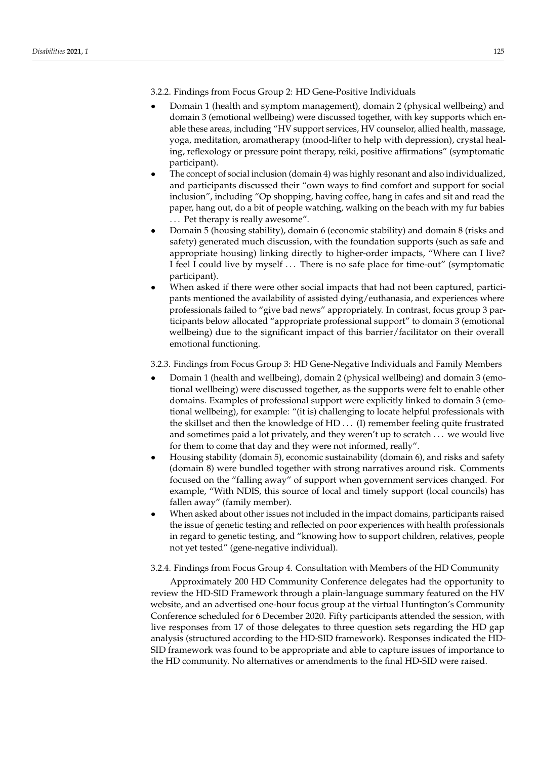3.2.2. Findings from Focus Group 2: HD Gene-Positive Individuals

- Domain 1 (health and symptom management), domain 2 (physical wellbeing) and domain 3 (emotional wellbeing) were discussed together, with key supports which enable these areas, including "HV support services, HV counselor, allied health, massage, yoga, meditation, aromatherapy (mood-lifter to help with depression), crystal healing, reflexology or pressure point therapy, reiki, positive affirmations" (symptomatic participant).
- The concept of social inclusion (domain 4) was highly resonant and also individualized, and participants discussed their "own ways to find comfort and support for social inclusion", including "Op shopping, having coffee, hang in cafes and sit and read the paper, hang out, do a bit of people watching, walking on the beach with my fur babies . . . Pet therapy is really awesome".
- Domain 5 (housing stability), domain 6 (economic stability) and domain 8 (risks and safety) generated much discussion, with the foundation supports (such as safe and appropriate housing) linking directly to higher-order impacts, "Where can I live? I feel I could live by myself . . . There is no safe place for time-out" (symptomatic participant).
- When asked if there were other social impacts that had not been captured, participants mentioned the availability of assisted dying/euthanasia, and experiences where professionals failed to "give bad news" appropriately. In contrast, focus group 3 participants below allocated "appropriate professional support" to domain 3 (emotional wellbeing) due to the significant impact of this barrier/facilitator on their overall emotional functioning.

#### 3.2.3. Findings from Focus Group 3: HD Gene-Negative Individuals and Family Members

- Domain 1 (health and wellbeing), domain 2 (physical wellbeing) and domain 3 (emotional wellbeing) were discussed together, as the supports were felt to enable other domains. Examples of professional support were explicitly linked to domain 3 (emotional wellbeing), for example: "(it is) challenging to locate helpful professionals with the skillset and then the knowledge of HD . . . (I) remember feeling quite frustrated and sometimes paid a lot privately, and they weren't up to scratch . . . we would live for them to come that day and they were not informed, really".
- Housing stability (domain 5), economic sustainability (domain 6), and risks and safety (domain 8) were bundled together with strong narratives around risk. Comments focused on the "falling away" of support when government services changed. For example, "With NDIS, this source of local and timely support (local councils) has fallen away" (family member).
- When asked about other issues not included in the impact domains, participants raised the issue of genetic testing and reflected on poor experiences with health professionals in regard to genetic testing, and "knowing how to support children, relatives, people not yet tested" (gene-negative individual).

#### 3.2.4. Findings from Focus Group 4. Consultation with Members of the HD Community

Approximately 200 HD Community Conference delegates had the opportunity to review the HD-SID Framework through a plain-language summary featured on the HV website, and an advertised one-hour focus group at the virtual Huntington's Community Conference scheduled for 6 December 2020. Fifty participants attended the session, with live responses from 17 of those delegates to three question sets regarding the HD gap analysis (structured according to the HD-SID framework). Responses indicated the HD-SID framework was found to be appropriate and able to capture issues of importance to the HD community. No alternatives or amendments to the final HD-SID were raised.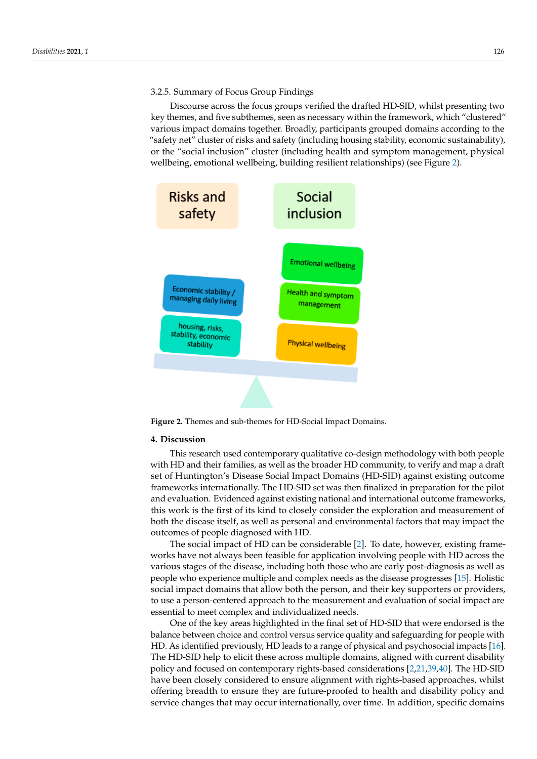# 3.2.5. Summary of Focus Group Findings

Discourse across the focus groups verified the drafted HD-SID, whilst presenting two key themes, and five subthemes, seen as necessary within the framework, which "clustered" various impact domains together. Broadly, participants grouped domains according to the "safety net" cluster of risks and safety (including housing stability, economic sustainability),  $\,$ or the "social inclusion" cluster (including health and symptom management, physical wellbeing, emotional wellbeing, building resilient relationships) (see Figure [2\)](#page-10-0). (see Figure 2).

<span id="page-10-0"></span>

**Figure 2.** Themes and sub-themes for HD-Social Impact Domains. **Figure 2.** Themes and sub-themes for HD-Social Impact Domains.

## **4. Discussion 4. Discussion**

This research used contemporary qualitative co-design methodology with both This research used contemporary qualitative co-design methodology with both people with HD and their families, as well as the broader HD community, to verify and map a draft set of Huntington's Disease Social Impact Domains (HD-SID) against existing outcome frameworks internationally. The HD-SID set was then finalized in preparation for the pilot for the pilot and evaluation. Evidenced against existing national and international and evaluation. Evidenced against existing national and international outcome frameworks, this work is the first of its kind to closely consider the exploration and measurement of both the disease itself, as well as personal and environmental factors that may impact the outcomes of people diagnosed with HD.  $\overline{\phantom{a}}$ 

The social impact of HD can be considerable [\[2\]](#page-13-1). To date, however, existing frameworks have not always been feasible for application involving people with HD across the various stages of the disease, including both those who are early post-diagnosis as well as people who experience multiple and complex needs as the disease progresses [\[15\]](#page-14-11). Holistic social impact domains that allow both the person, and their key supporters or providers, to use a person-centered approach to the measurement and evaluation of social impact are essential to meet complex and individualized needs.

One of the key areas highlighted in the final set of HD-SID that were endorsed is the balance between choice and control versus service quality and safeguarding for people with HD. As identified previously, HD leads to a range of physical and psychosocial impacts [\[16\]](#page-14-12). The HD-SID help to elicit these across multiple domains, aligned with current disability policy and focused on contemporary rights-based considerations [\[2,](#page-13-1)[21,](#page-14-17)[39](#page-15-6)[,40\]](#page-15-7). The HD-SID have been closely considered to ensure alignment with rights-based approaches, whilst offering breadth to ensure they are future-proofed to health and disability policy and service changes that may occur internationally, over time. In addition, specific domains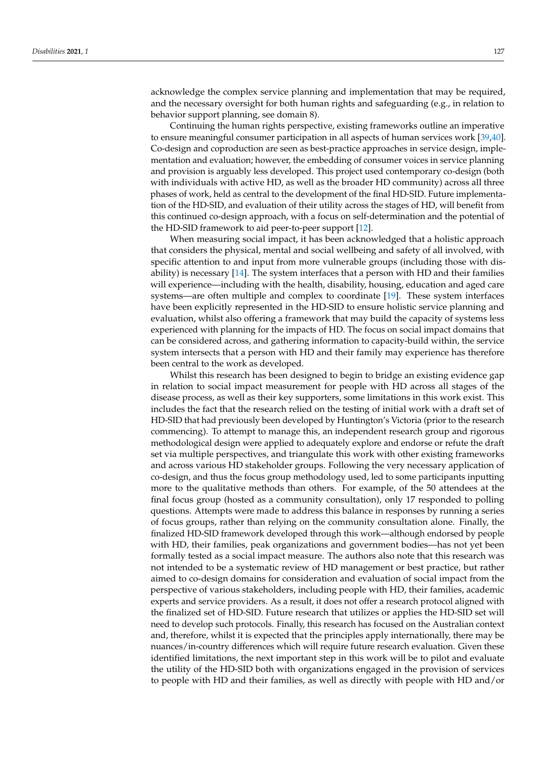acknowledge the complex service planning and implementation that may be required, and the necessary oversight for both human rights and safeguarding (e.g., in relation to behavior support planning, see domain 8).

Continuing the human rights perspective, existing frameworks outline an imperative to ensure meaningful consumer participation in all aspects of human services work [\[39](#page-15-6)[,40\]](#page-15-7). Co-design and coproduction are seen as best-practice approaches in service design, implementation and evaluation; however, the embedding of consumer voices in service planning and provision is arguably less developed. This project used contemporary co-design (both with individuals with active HD, as well as the broader HD community) across all three phases of work, held as central to the development of the final HD-SID. Future implementation of the HD-SID, and evaluation of their utility across the stages of HD, will benefit from this continued co-design approach, with a focus on self-determination and the potential of the HD-SID framework to aid peer-to-peer support [\[12\]](#page-14-8).

When measuring social impact, it has been acknowledged that a holistic approach that considers the physical, mental and social wellbeing and safety of all involved, with specific attention to and input from more vulnerable groups (including those with disability) is necessary  $[14]$ . The system interfaces that a person with HD and their families will experience—including with the health, disability, housing, education and aged care systems—are often multiple and complex to coordinate [\[19\]](#page-14-15). These system interfaces have been explicitly represented in the HD-SID to ensure holistic service planning and evaluation, whilst also offering a framework that may build the capacity of systems less experienced with planning for the impacts of HD. The focus on social impact domains that can be considered across, and gathering information to capacity-build within, the service system intersects that a person with HD and their family may experience has therefore been central to the work as developed.

Whilst this research has been designed to begin to bridge an existing evidence gap in relation to social impact measurement for people with HD across all stages of the disease process, as well as their key supporters, some limitations in this work exist. This includes the fact that the research relied on the testing of initial work with a draft set of HD-SID that had previously been developed by Huntington's Victoria (prior to the research commencing). To attempt to manage this, an independent research group and rigorous methodological design were applied to adequately explore and endorse or refute the draft set via multiple perspectives, and triangulate this work with other existing frameworks and across various HD stakeholder groups. Following the very necessary application of co-design, and thus the focus group methodology used, led to some participants inputting more to the qualitative methods than others. For example, of the 50 attendees at the final focus group (hosted as a community consultation), only 17 responded to polling questions. Attempts were made to address this balance in responses by running a series of focus groups, rather than relying on the community consultation alone. Finally, the finalized HD-SID framework developed through this work—although endorsed by people with HD, their families, peak organizations and government bodies—has not yet been formally tested as a social impact measure. The authors also note that this research was not intended to be a systematic review of HD management or best practice, but rather aimed to co-design domains for consideration and evaluation of social impact from the perspective of various stakeholders, including people with HD, their families, academic experts and service providers. As a result, it does not offer a research protocol aligned with the finalized set of HD-SID. Future research that utilizes or applies the HD-SID set will need to develop such protocols. Finally, this research has focused on the Australian context and, therefore, whilst it is expected that the principles apply internationally, there may be nuances/in-country differences which will require future research evaluation. Given these identified limitations, the next important step in this work will be to pilot and evaluate the utility of the HD-SID both with organizations engaged in the provision of services to people with HD and their families, as well as directly with people with HD and/or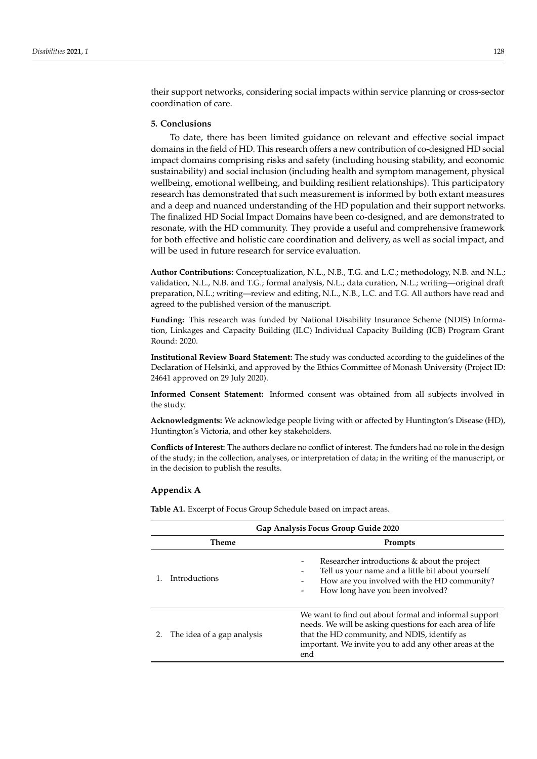their support networks, considering social impacts within service planning or cross-sector coordination of care.

#### **5. Conclusions**

To date, there has been limited guidance on relevant and effective social impact domains in the field of HD. This research offers a new contribution of co-designed HD social impact domains comprising risks and safety (including housing stability, and economic sustainability) and social inclusion (including health and symptom management, physical wellbeing, emotional wellbeing, and building resilient relationships). This participatory research has demonstrated that such measurement is informed by both extant measures and a deep and nuanced understanding of the HD population and their support networks. The finalized HD Social Impact Domains have been co-designed, and are demonstrated to resonate, with the HD community. They provide a useful and comprehensive framework for both effective and holistic care coordination and delivery, as well as social impact, and will be used in future research for service evaluation.

**Author Contributions:** Conceptualization, N.L., N.B., T.G. and L.C.; methodology, N.B. and N.L.; validation, N.L., N.B. and T.G.; formal analysis, N.L.; data curation, N.L.; writing—original draft preparation, N.L.; writing—review and editing, N.L., N.B., L.C. and T.G. All authors have read and agreed to the published version of the manuscript.

**Funding:** This research was funded by National Disability Insurance Scheme (NDIS) Information, Linkages and Capacity Building (ILC) Individual Capacity Building (ICB) Program Grant Round: 2020.

**Institutional Review Board Statement:** The study was conducted according to the guidelines of the Declaration of Helsinki, and approved by the Ethics Committee of Monash University (Project ID: 24641 approved on 29 July 2020).

**Informed Consent Statement:** Informed consent was obtained from all subjects involved in the study.

**Acknowledgments:** We acknowledge people living with or affected by Huntington's Disease (HD), Huntington's Victoria, and other key stakeholders.

**Conflicts of Interest:** The authors declare no conflict of interest. The funders had no role in the design of the study; in the collection, analyses, or interpretation of data; in the writing of the manuscript, or in the decision to publish the results.

#### <span id="page-12-0"></span>**Appendix A**

**Table A1.** Excerpt of Focus Group Schedule based on impact areas.

|       | Gap Analysis Focus Group Guide 2020 |                                                                                                                                                                                                                                    |  |  |  |  |
|-------|-------------------------------------|------------------------------------------------------------------------------------------------------------------------------------------------------------------------------------------------------------------------------------|--|--|--|--|
| Theme |                                     | Prompts                                                                                                                                                                                                                            |  |  |  |  |
|       | Introductions                       | Researcher introductions & about the project<br>Tell us your name and a little bit about yourself<br>How are you involved with the HD community?<br>How long have you been involved?                                               |  |  |  |  |
| 2.    | The idea of a gap analysis          | We want to find out about formal and informal support<br>needs. We will be asking questions for each area of life<br>that the HD community, and NDIS, identify as<br>important. We invite you to add any other areas at the<br>end |  |  |  |  |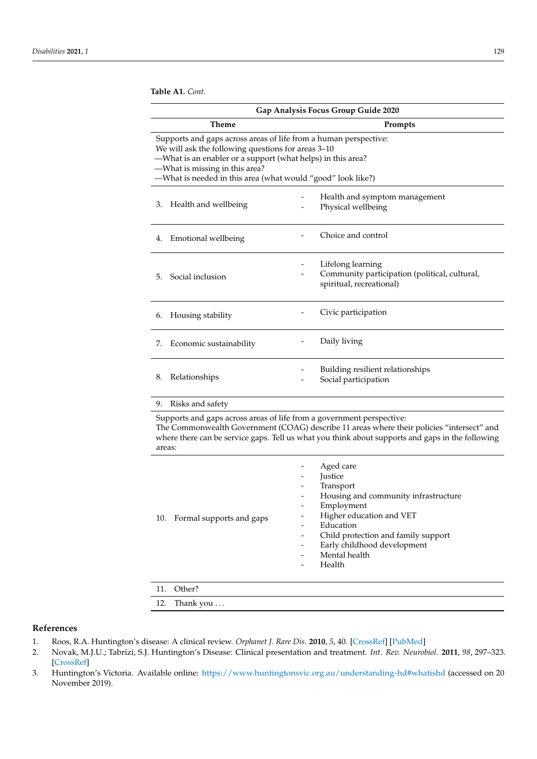**Table A1.** *Cont.*

| Gap Analysis Focus Group Guide 2020                                                                                                                                                                                                                                                    |                         |  |                                                                                                |  |
|----------------------------------------------------------------------------------------------------------------------------------------------------------------------------------------------------------------------------------------------------------------------------------------|-------------------------|--|------------------------------------------------------------------------------------------------|--|
| <b>Theme</b>                                                                                                                                                                                                                                                                           |                         |  | Prompts                                                                                        |  |
| Supports and gaps across areas of life from a human perspective:<br>We will ask the following questions for areas 3-10<br>-What is an enabler or a support (what helps) in this area?<br>-What is missing in this area?<br>-What is needed in this area (what would "good" look like?) |                         |  |                                                                                                |  |
| 3.                                                                                                                                                                                                                                                                                     | Health and wellbeing    |  | Health and symptom management<br>Physical wellbeing                                            |  |
| 4.                                                                                                                                                                                                                                                                                     | Emotional wellbeing     |  | Choice and control                                                                             |  |
| 5.                                                                                                                                                                                                                                                                                     | Social inclusion        |  | Lifelong learning<br>Community participation (political, cultural,<br>spiritual, recreational) |  |
| 6.                                                                                                                                                                                                                                                                                     | Housing stability       |  | Civic participation                                                                            |  |
| 7.                                                                                                                                                                                                                                                                                     | Economic sustainability |  | Daily living                                                                                   |  |
| 8.                                                                                                                                                                                                                                                                                     | Relationships           |  | Building resilient relationships<br>Social participation                                       |  |
| 9.                                                                                                                                                                                                                                                                                     | Risks and safety        |  |                                                                                                |  |
| Supports and gaps across areas of life from a government perspective:<br>The Commonwealth Government (COAG) describe 11 areas where their policies "intersect" and<br>where there can be service gaps. Tell us what you think about supports and gaps in the following<br>areas:       |                         |  |                                                                                                |  |

| 10. Formal supports and gaps | -<br>-<br>-<br>$\qquad \qquad \blacksquare$<br>$\qquad \qquad \blacksquare$<br>$\qquad \qquad \blacksquare$ | Aged care<br>Justice<br>Transport<br>Housing and community infrastructure<br>Employment<br>Higher education and VET<br>Education<br>Child protection and family support<br>Early childhood development<br>Mental health<br>Health |
|------------------------------|-------------------------------------------------------------------------------------------------------------|-----------------------------------------------------------------------------------------------------------------------------------------------------------------------------------------------------------------------------------|
| .                            |                                                                                                             |                                                                                                                                                                                                                                   |

# 11. Other?

12. Thank you ...

# **References**

- <span id="page-13-0"></span>1. Roos, R.A. Huntington's disease: A clinical review. *Orphanet J. Rare Dis.* **2010**, *5*, 40. [\[CrossRef\]](http://doi.org/10.1186/1750-1172-5-40) [\[PubMed\]](http://www.ncbi.nlm.nih.gov/pubmed/21171977)
- <span id="page-13-1"></span>2. Novak, M.J.U.; Tabrizi, S.J. Huntington's Disease: Clinical presentation and treatment. *Int. Rev. Neurobiol.* **2011**, *98*, 297–323. [\[CrossRef\]](http://doi.org/10.1016/B978-0-12-381328-2.00013-4)
- <span id="page-13-2"></span>3. Huntington's Victoria. Available online: <https://www.huntingtonsvic.org.au/understanding-hd#whatishd> (accessed on 20 November 2019).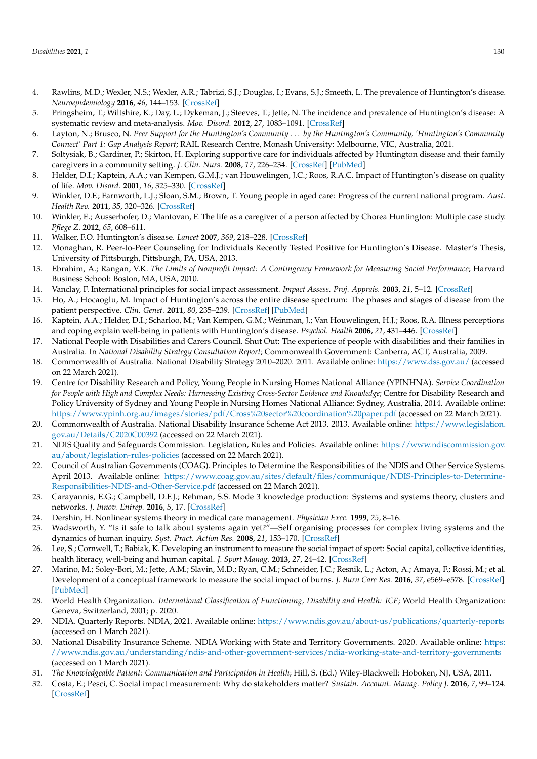- <span id="page-14-0"></span>4. Rawlins, M.D.; Wexler, N.S.; Wexler, A.R.; Tabrizi, S.J.; Douglas, I.; Evans, S.J.; Smeeth, L. The prevalence of Huntington's disease. *Neuroepidemiology* **2016**, *46*, 144–153. [\[CrossRef\]](http://doi.org/10.1159/000443738)
- <span id="page-14-1"></span>5. Pringsheim, T.; Wiltshire, K.; Day, L.; Dykeman, J.; Steeves, T.; Jette, N. The incidence and prevalence of Huntington's disease: A systematic review and meta-analysis. *Mov. Disord.* **2012**, *27*, 1083–1091. [\[CrossRef\]](http://doi.org/10.1002/mds.25075)
- <span id="page-14-2"></span>6. Layton, N.; Brusco, N. *Peer Support for the Huntington's Community* . . . *by the Huntington's Community, 'Huntington's Community Connect' Part 1: Gap Analysis Report*; RAIL Research Centre, Monash University: Melbourne, VIC, Australia, 2021.
- <span id="page-14-3"></span>7. Soltysiak, B.; Gardiner, P.; Skirton, H. Exploring supportive care for individuals affected by Huntington disease and their family caregivers in a community setting. *J. Clin. Nurs.* **2008**, *17*, 226–234. [\[CrossRef\]](http://doi.org/10.1111/j.1365-2702.2007.02276.x) [\[PubMed\]](http://www.ncbi.nlm.nih.gov/pubmed/18578798)
- <span id="page-14-4"></span>8. Helder, D.I.; Kaptein, A.A.; van Kempen, G.M.J.; van Houwelingen, J.C.; Roos, R.A.C. Impact of Huntington's disease on quality of life. *Mov. Disord.* **2001**, *16*, 325–330. [\[CrossRef\]](http://doi.org/10.1002/mds.1056)
- <span id="page-14-5"></span>9. Winkler, D.F.; Farnworth, L.J.; Sloan, S.M.; Brown, T. Young people in aged care: Progress of the current national program. *Aust. Health Rev.* **2011**, *35*, 320–326. [\[CrossRef\]](http://doi.org/10.1071/AH10889)
- <span id="page-14-6"></span>10. Winkler, E.; Ausserhofer, D.; Mantovan, F. The life as a caregiver of a person affected by Chorea Huntington: Multiple case study. *Pflege Z.* **2012**, *65*, 608–611.
- <span id="page-14-7"></span>11. Walker, F.O. Huntington's disease. *Lancet* **2007**, *369*, 218–228. [\[CrossRef\]](http://doi.org/10.1016/S0140-6736(07)60111-1)
- <span id="page-14-8"></span>12. Monaghan, R. Peer-to-Peer Counseling for Individuals Recently Tested Positive for Huntington's Disease. Master's Thesis, University of Pittsburgh, Pittsburgh, PA, USA, 2013.
- <span id="page-14-9"></span>13. Ebrahim, A.; Rangan, V.K. *The Limits of Nonprofit Impact: A Contingency Framework for Measuring Social Performance*; Harvard Business School: Boston, MA, USA, 2010.
- <span id="page-14-10"></span>14. Vanclay, F. International principles for social impact assessment. *Impact Assess. Proj. Apprais.* **2003**, *21*, 5–12. [\[CrossRef\]](http://doi.org/10.3152/147154603781766491)
- <span id="page-14-11"></span>15. Ho, A.; Hocaoglu, M. Impact of Huntington's across the entire disease spectrum: The phases and stages of disease from the patient perspective. *Clin. Genet.* **2011**, *80*, 235–239. [\[CrossRef\]](http://doi.org/10.1111/j.1399-0004.2011.01748.x) [\[PubMed\]](http://www.ncbi.nlm.nih.gov/pubmed/21736564)
- <span id="page-14-12"></span>16. Kaptein, A.A.; Helder, D.I.; Scharloo, M.; Van Kempen, G.M.; Weinman, J.; Van Houwelingen, H.J.; Roos, R.A. Illness perceptions and coping explain well-being in patients with Huntington's disease. *Psychol. Health* **2006**, *21*, 431–446. [\[CrossRef\]](http://doi.org/10.1080/14768320500456947)
- <span id="page-14-13"></span>17. National People with Disabilities and Carers Council. Shut Out: The experience of people with disabilities and their families in Australia. In *National Disability Strategy Consultation Report*; Commonwealth Government: Canberra, ACT, Australia, 2009.
- <span id="page-14-14"></span>18. Commonwealth of Australia. National Disability Strategy 2010–2020. 2011. Available online: <https://www.dss.gov.au/> (accessed on 22 March 2021).
- <span id="page-14-15"></span>19. Centre for Disability Research and Policy, Young People in Nursing Homes National Alliance (YPINHNA). *Service Coordination for People with High and Complex Needs: Harnessing Existing Cross-Sector Evidence and Knowledge*; Centre for Disability Research and Policy University of Sydney and Young People in Nursing Homes National Alliance: Sydney, Australia, 2014. Available online: <https://www.ypinh.org.au/images/stories/pdf/Cross%20sector%20coordination%20paper.pdf> (accessed on 22 March 2021).
- <span id="page-14-16"></span>20. Commonwealth of Australia. National Disability Insurance Scheme Act 2013. 2013. Available online: [https://www.legislation.](https://www.legislation.gov.au/Details/C2020C00392) [gov.au/Details/C2020C00392](https://www.legislation.gov.au/Details/C2020C00392) (accessed on 22 March 2021).
- <span id="page-14-17"></span>21. NDIS Quality and Safeguards Commission. Legislation, Rules and Policies. Available online: [https://www.ndiscommission.gov.](https://www.ndiscommission.gov.au/about/legislation-rules-policies) [au/about/legislation-rules-policies](https://www.ndiscommission.gov.au/about/legislation-rules-policies) (accessed on 22 March 2021).
- <span id="page-14-18"></span>22. Council of Australian Governments (COAG). Principles to Determine the Responsibilities of the NDIS and Other Service Systems. April 2013. Available online: [https://www.coag.gov.au/sites/default/files/communique/NDIS-Principles-to-Determine-](https://www.coag.gov.au/sites/default/files/communique/NDIS-Principles-to-Determine-Responsibilities-NDIS-and-Other-Service.pdf)[Responsibilities-NDIS-and-Other-Service.pdf](https://www.coag.gov.au/sites/default/files/communique/NDIS-Principles-to-Determine-Responsibilities-NDIS-and-Other-Service.pdf) (accessed on 22 March 2021).
- <span id="page-14-19"></span>23. Carayannis, E.G.; Campbell, D.F.J.; Rehman, S.S. Mode 3 knowledge production: Systems and systems theory, clusters and networks. *J. Innov. Entrep.* **2016**, *5*, 17. [\[CrossRef\]](http://doi.org/10.1186/s13731-016-0045-9)
- 24. Dershin, H. Nonlinear systems theory in medical care management. *Physician Exec.* **1999**, *25*, 8–16.
- <span id="page-14-20"></span>25. Wadsworth, Y. "Is it safe to talk about systems again yet?"—Self organising processes for complex living systems and the dynamics of human inquiry. *Syst. Pract. Action Res.* **2008**, *21*, 153–170. [\[CrossRef\]](http://doi.org/10.1007/s11213-007-9084-2)
- <span id="page-14-21"></span>26. Lee, S.; Cornwell, T.; Babiak, K. Developing an instrument to measure the social impact of sport: Social capital, collective identities, health literacy, well-being and human capital. *J. Sport Manag.* **2013**, *27*, 24–42. [\[CrossRef\]](http://doi.org/10.1123/jsm.27.1.24)
- <span id="page-14-22"></span>27. Marino, M.; Soley-Bori, M.; Jette, A.M.; Slavin, M.D.; Ryan, C.M.; Schneider, J.C.; Resnik, L.; Acton, A.; Amaya, F.; Rossi, M.; et al. Development of a conceptual framework to measure the social impact of burns. *J. Burn Care Res.* **2016**, *37*, e569–e578. [\[CrossRef\]](http://doi.org/10.1097/BCR.0000000000000358) [\[PubMed\]](http://www.ncbi.nlm.nih.gov/pubmed/27828837)
- <span id="page-14-23"></span>28. World Health Organization. *International Classification of Functioning, Disability and Health: ICF*; World Health Organization: Geneva, Switzerland, 2001; p. 2020.
- <span id="page-14-24"></span>29. NDIA. Quarterly Reports. NDIA, 2021. Available online: <https://www.ndis.gov.au/about-us/publications/quarterly-reports> (accessed on 1 March 2021).
- <span id="page-14-25"></span>30. National Disability Insurance Scheme. NDIA Working with State and Territory Governments. 2020. Available online: [https:](https://www.ndis.gov.au/understanding/ndis-and-other-government-services/ndia-working-state-and-territory-governments) [//www.ndis.gov.au/understanding/ndis-and-other-government-services/ndia-working-state-and-territory-governments](https://www.ndis.gov.au/understanding/ndis-and-other-government-services/ndia-working-state-and-territory-governments) (accessed on 1 March 2021).
- <span id="page-14-26"></span>31. *The Knowledgeable Patient: Communication and Participation in Health*; Hill, S. (Ed.) Wiley-Blackwell: Hoboken, NJ, USA, 2011.
- <span id="page-14-27"></span>32. Costa, E.; Pesci, C. Social impact measurement: Why do stakeholders matter? *Sustain. Account. Manag. Policy J.* **2016**, *7*, 99–124. [\[CrossRef\]](http://doi.org/10.1108/SAMPJ-12-2014-0092)